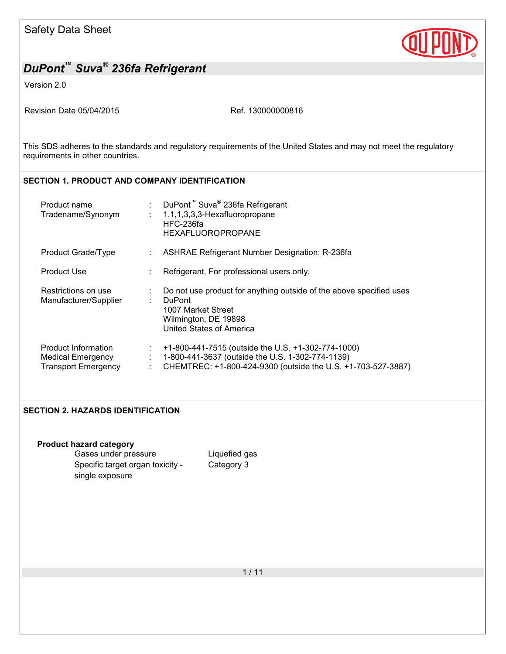

Version 2.0

Revision Date 05/04/2015 Revision Date 05/04/2015

This SDS adheres to the standards and regulatory requirements of the United States and may not meet the regulatory requirements in other countries.

## **SECTION 1. PRODUCT AND COMPANY IDENTIFICATION**

| Product name<br>Tradename/Synonym                                      |         | : DuPont <sup>™</sup> Suva <sup>®</sup> 236fa Refrigerant<br>$: 1,1,1,3,3,3$ -Hexafluoropropane<br>HFC-236fa<br>HEXAFLUOROPROPANE                                      |
|------------------------------------------------------------------------|---------|------------------------------------------------------------------------------------------------------------------------------------------------------------------------|
| Product Grade/Type                                                     |         | <b>ASHRAE Refrigerant Number Designation: R-236fa</b>                                                                                                                  |
| <b>Product Use</b>                                                     |         | Refrigerant, For professional users only.                                                                                                                              |
| Restrictions on use<br>Manufacturer/Supplier                           |         | Do not use product for anything outside of the above specified uses<br><b>DuPont</b><br>1007 Market Street<br>Wilmington, DE 19898<br>United States of America         |
| Product Information<br>Medical Emergency<br><b>Transport Emergency</b> | ÷<br>÷. | +1-800-441-7515 (outside the U.S. +1-302-774-1000)<br>1-800-441-3637 (outside the U.S. 1-302-774-1139)<br>CHEMTREC: +1-800-424-9300 (outside the U.S. +1-703-527-3887) |

### **SECTION 2. HAZARDS IDENTIFICATION**

| <b>Product hazard category</b>   |               |
|----------------------------------|---------------|
| Gases under pressure             | Liquefied gas |
| Specific target organ toxicity - | Category 3    |
| single exposure                  |               |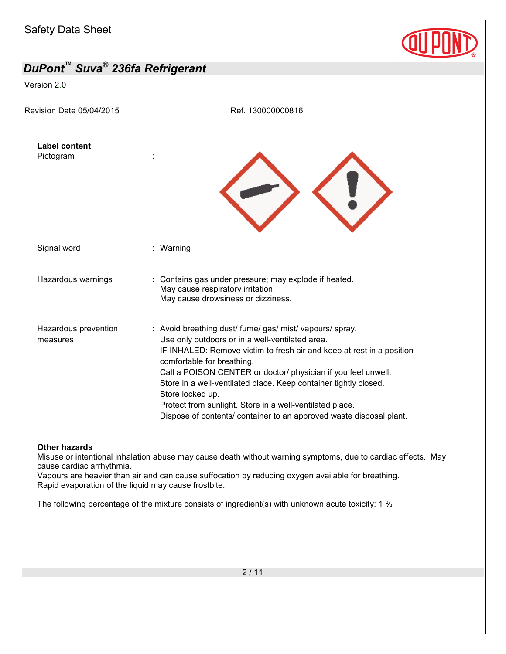| <b>Safety Data Sheet</b>                                |                                                                                                                                                                                                                                                                                                                                                                                                                                                                                                                |  |
|---------------------------------------------------------|----------------------------------------------------------------------------------------------------------------------------------------------------------------------------------------------------------------------------------------------------------------------------------------------------------------------------------------------------------------------------------------------------------------------------------------------------------------------------------------------------------------|--|
| DuPont <sup>™</sup> Suva <sup>®</sup> 236fa Refrigerant |                                                                                                                                                                                                                                                                                                                                                                                                                                                                                                                |  |
| Version 2.0                                             |                                                                                                                                                                                                                                                                                                                                                                                                                                                                                                                |  |
| Revision Date 05/04/2015                                | Ref. 130000000816                                                                                                                                                                                                                                                                                                                                                                                                                                                                                              |  |
| <b>Label content</b><br>Pictogram                       |                                                                                                                                                                                                                                                                                                                                                                                                                                                                                                                |  |
| Signal word                                             | : Warning                                                                                                                                                                                                                                                                                                                                                                                                                                                                                                      |  |
| Hazardous warnings                                      | : Contains gas under pressure; may explode if heated.<br>May cause respiratory irritation.<br>May cause drowsiness or dizziness.                                                                                                                                                                                                                                                                                                                                                                               |  |
| Hazardous prevention<br>measures                        | : Avoid breathing dust/ fume/ gas/ mist/ vapours/ spray.<br>Use only outdoors or in a well-ventilated area.<br>IF INHALED: Remove victim to fresh air and keep at rest in a position<br>comfortable for breathing.<br>Call a POISON CENTER or doctor/ physician if you feel unwell.<br>Store in a well-ventilated place. Keep container tightly closed.<br>Store locked up.<br>Protect from sunlight. Store in a well-ventilated place.<br>Dispose of contents/ container to an approved waste disposal plant. |  |

#### **Other hazards**

Misuse or intentional inhalation abuse may cause death without warning symptoms, due to cardiac effects., May cause cardiac arrhythmia.

Vapours are heavier than air and can cause suffocation by reducing oxygen available for breathing. Rapid evaporation of the liquid may cause frostbite.

The following percentage of the mixture consists of ingredient(s) with unknown acute toxicity: 1 %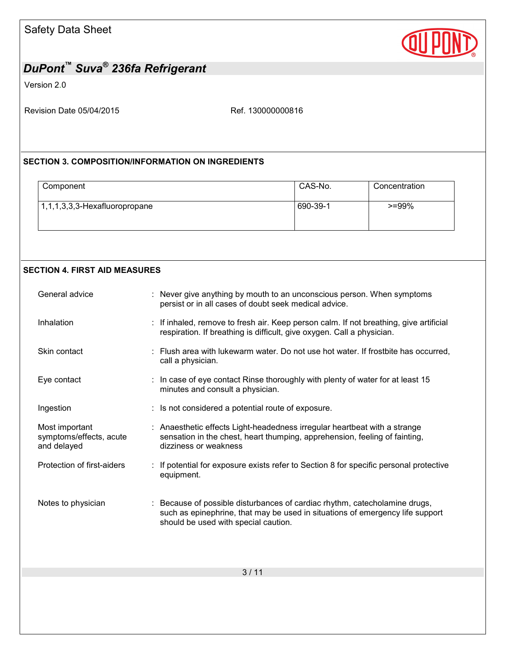

Version 2.0

Revision Date 05/04/2015 Ref. 130000000816

### **SECTION 3. COMPOSITION/INFORMATION ON INGREDIENTS**

| Component                        | CAS-No.  | Concentration |
|----------------------------------|----------|---------------|
| $1,1,1,3,3,3$ -Hexafluoropropane | 690-39-1 | $>=99\%$      |

### **SECTION 4. FIRST AID MEASURES**

| General advice                                           | : Never give anything by mouth to an unconscious person. When symptoms<br>persist or in all cases of doubt seek medical advice.                                                                     |
|----------------------------------------------------------|-----------------------------------------------------------------------------------------------------------------------------------------------------------------------------------------------------|
| Inhalation                                               | : If inhaled, remove to fresh air. Keep person calm. If not breathing, give artificial<br>respiration. If breathing is difficult, give oxygen. Call a physician.                                    |
| Skin contact                                             | : Flush area with lukewarm water. Do not use hot water. If frostbite has occurred,<br>call a physician.                                                                                             |
| Eye contact                                              | : In case of eye contact Rinse thoroughly with plenty of water for at least 15<br>minutes and consult a physician.                                                                                  |
| Ingestion                                                | : Is not considered a potential route of exposure.                                                                                                                                                  |
| Most important<br>symptoms/effects, acute<br>and delayed | : Anaesthetic effects Light-headedness irregular heartbeat with a strange<br>sensation in the chest, heart thumping, apprehension, feeling of fainting,<br>dizziness or weakness                    |
| Protection of first-aiders                               | : If potential for exposure exists refer to Section 8 for specific personal protective<br>equipment.                                                                                                |
| Notes to physician                                       | : Because of possible disturbances of cardiac rhythm, catecholamine drugs,<br>such as epinephrine, that may be used in situations of emergency life support<br>should be used with special caution. |
|                                                          |                                                                                                                                                                                                     |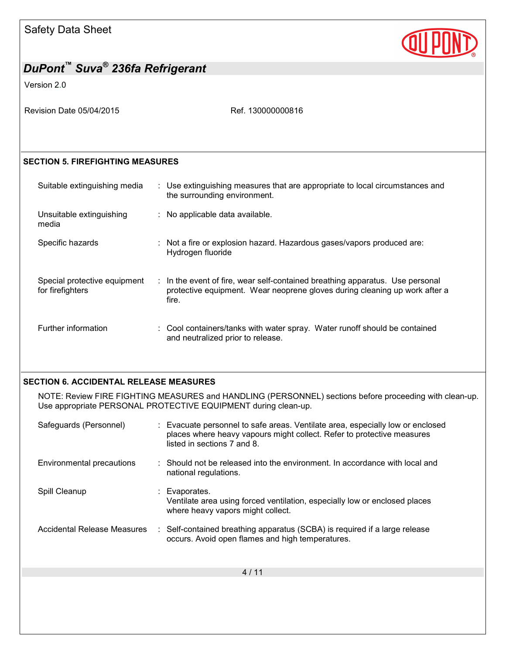

| DuPont™ Suva <sup>®</sup> 236fa Refrigerant      |                                                                                                                                                                                         |  |  |  |
|--------------------------------------------------|-----------------------------------------------------------------------------------------------------------------------------------------------------------------------------------------|--|--|--|
| Version 2.0                                      |                                                                                                                                                                                         |  |  |  |
| Revision Date 05/04/2015                         | Ref. 130000000816                                                                                                                                                                       |  |  |  |
|                                                  |                                                                                                                                                                                         |  |  |  |
| <b>SECTION 5. FIREFIGHTING MEASURES</b>          |                                                                                                                                                                                         |  |  |  |
| Suitable extinguishing media                     | : Use extinguishing measures that are appropriate to local circumstances and<br>the surrounding environment.                                                                            |  |  |  |
| Unsuitable extinguishing<br>media                | : No applicable data available.                                                                                                                                                         |  |  |  |
| Specific hazards                                 | : Not a fire or explosion hazard. Hazardous gases/vapors produced are:<br>Hydrogen fluoride                                                                                             |  |  |  |
| Special protective equipment<br>for firefighters | : In the event of fire, wear self-contained breathing apparatus. Use personal<br>protective equipment. Wear neoprene gloves during cleaning up work after a<br>fire.                    |  |  |  |
| Further information                              | : Cool containers/tanks with water spray. Water runoff should be contained<br>and neutralized prior to release.                                                                         |  |  |  |
| <b>SECTION 6. ACCIDENTAL RELEASE MEASURES</b>    |                                                                                                                                                                                         |  |  |  |
|                                                  | NOTE: Review FIRE FIGHTING MEASURES and HANDLING (PERSONNEL) sections before proceeding with clean-up.<br>Use appropriate PERSONAL PROTECTIVE EQUIPMENT during clean-up.                |  |  |  |
| Safeguards (Personnel)                           | : Evacuate personnel to safe areas. Ventilate area, especially low or enclosed<br>places where heavy vapours might collect. Refer to protective measures<br>listed in sections 7 and 8. |  |  |  |
| Environmental precautions                        | Should not be released into the environment. In accordance with local and<br>national regulations.                                                                                      |  |  |  |
| Spill Cleanup                                    | Evaporates.<br>Ventilate area using forced ventilation, especially low or enclosed places<br>where heavy vapors might collect.                                                          |  |  |  |
| <b>Accidental Release Measures</b>               | Self-contained breathing apparatus (SCBA) is required if a large release<br>occurs. Avoid open flames and high temperatures.                                                            |  |  |  |
|                                                  | 4/11                                                                                                                                                                                    |  |  |  |
|                                                  |                                                                                                                                                                                         |  |  |  |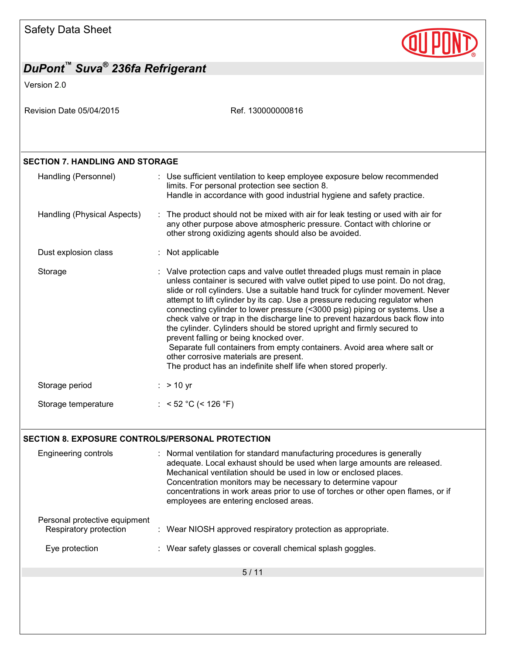

| DuPont™ Suva <sup>®</sup> 236fa Refrigerant             |                                                                                                                                                                                                                                                                                                                                                                                                                                                                                                                                                                                                                                                                                                                                                                                                              |
|---------------------------------------------------------|--------------------------------------------------------------------------------------------------------------------------------------------------------------------------------------------------------------------------------------------------------------------------------------------------------------------------------------------------------------------------------------------------------------------------------------------------------------------------------------------------------------------------------------------------------------------------------------------------------------------------------------------------------------------------------------------------------------------------------------------------------------------------------------------------------------|
| Version 2.0                                             |                                                                                                                                                                                                                                                                                                                                                                                                                                                                                                                                                                                                                                                                                                                                                                                                              |
| Revision Date 05/04/2015                                | Ref. 130000000816                                                                                                                                                                                                                                                                                                                                                                                                                                                                                                                                                                                                                                                                                                                                                                                            |
| <b>SECTION 7. HANDLING AND STORAGE</b>                  |                                                                                                                                                                                                                                                                                                                                                                                                                                                                                                                                                                                                                                                                                                                                                                                                              |
| Handling (Personnel)                                    | : Use sufficient ventilation to keep employee exposure below recommended<br>limits. For personal protection see section 8.<br>Handle in accordance with good industrial hygiene and safety practice.                                                                                                                                                                                                                                                                                                                                                                                                                                                                                                                                                                                                         |
| Handling (Physical Aspects)                             | : The product should not be mixed with air for leak testing or used with air for<br>any other purpose above atmospheric pressure. Contact with chlorine or<br>other strong oxidizing agents should also be avoided.                                                                                                                                                                                                                                                                                                                                                                                                                                                                                                                                                                                          |
| Dust explosion class                                    | : Not applicable                                                                                                                                                                                                                                                                                                                                                                                                                                                                                                                                                                                                                                                                                                                                                                                             |
| Storage                                                 | : Valve protection caps and valve outlet threaded plugs must remain in place<br>unless container is secured with valve outlet piped to use point. Do not drag,<br>slide or roll cylinders. Use a suitable hand truck for cylinder movement. Never<br>attempt to lift cylinder by its cap. Use a pressure reducing regulator when<br>connecting cylinder to lower pressure (<3000 psig) piping or systems. Use a<br>check valve or trap in the discharge line to prevent hazardous back flow into<br>the cylinder. Cylinders should be stored upright and firmly secured to<br>prevent falling or being knocked over.<br>Separate full containers from empty containers. Avoid area where salt or<br>other corrosive materials are present.<br>The product has an indefinite shelf life when stored properly. |
| Storage period                                          | $:$ > 10 yr                                                                                                                                                                                                                                                                                                                                                                                                                                                                                                                                                                                                                                                                                                                                                                                                  |
| Storage temperature                                     | : < 52 °C (< 126 °F)                                                                                                                                                                                                                                                                                                                                                                                                                                                                                                                                                                                                                                                                                                                                                                                         |
| <b>SECTION 8. EXPOSURE CONTROLS/PERSONAL PROTECTION</b> |                                                                                                                                                                                                                                                                                                                                                                                                                                                                                                                                                                                                                                                                                                                                                                                                              |
| Engineering controls                                    | : Normal ventilation for standard manufacturing procedures is generally<br>adequate. Local exhaust should be used when large amounts are released.<br>Mechanical ventilation should be used in low or enclosed places.<br>Concentration monitors may be necessary to determine vapour<br>concentrations in work areas prior to use of torches or other open flames, or if<br>employees are entering enclosed areas.                                                                                                                                                                                                                                                                                                                                                                                          |
| Personal protective equipment<br>Respiratory protection | : Wear NIOSH approved respiratory protection as appropriate.                                                                                                                                                                                                                                                                                                                                                                                                                                                                                                                                                                                                                                                                                                                                                 |
| Eye protection                                          | : Wear safety glasses or coverall chemical splash goggles.                                                                                                                                                                                                                                                                                                                                                                                                                                                                                                                                                                                                                                                                                                                                                   |
|                                                         | 5/11                                                                                                                                                                                                                                                                                                                                                                                                                                                                                                                                                                                                                                                                                                                                                                                                         |
|                                                         |                                                                                                                                                                                                                                                                                                                                                                                                                                                                                                                                                                                                                                                                                                                                                                                                              |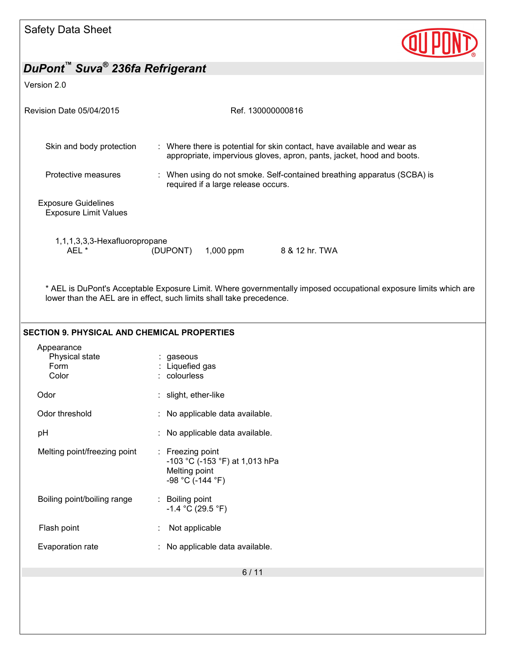

## Version 2.0

| Revision Date 05/04/2015                                   | Ref. 130000000816                                                                                                                                                                        |  |  |  |  |
|------------------------------------------------------------|------------------------------------------------------------------------------------------------------------------------------------------------------------------------------------------|--|--|--|--|
| Skin and body protection                                   | : Where there is potential for skin contact, have available and wear as<br>appropriate, impervious gloves, apron, pants, jacket, hood and boots.                                         |  |  |  |  |
| Protective measures                                        | : When using do not smoke. Self-contained breathing apparatus (SCBA) is<br>required if a large release occurs.                                                                           |  |  |  |  |
| <b>Exposure Guidelines</b><br><b>Exposure Limit Values</b> |                                                                                                                                                                                          |  |  |  |  |
| 1,1,1,3,3,3-Hexafluoropropane<br>AEL *                     | $1,000$ ppm<br>8 & 12 hr. TWA<br>(DUPONT)                                                                                                                                                |  |  |  |  |
|                                                            | * AEL is DuPont's Acceptable Exposure Limit. Where governmentally imposed occupational exposure limits which are<br>lower than the AEL are in effect, such limits shall take precedence. |  |  |  |  |
| <b>SECTION 9. PHYSICAL AND CHEMICAL PROPERTIES</b>         |                                                                                                                                                                                          |  |  |  |  |
| Appearance<br>Physical state<br>Form<br>Color              | gaseous<br>: Liquefied gas<br>: colourless                                                                                                                                               |  |  |  |  |
| Odor                                                       | : slight, ether-like                                                                                                                                                                     |  |  |  |  |
| Odor threshold                                             | : No applicable data available.                                                                                                                                                          |  |  |  |  |
| pH                                                         | : No applicable data available.                                                                                                                                                          |  |  |  |  |
| Melting point/freezing point                               | : Freezing point<br>-103 °C (-153 °F) at 1,013 hPa<br>Melting point<br>-98 °C (-144 °F)                                                                                                  |  |  |  |  |
| Boiling point/boiling range                                | Boiling point<br>$-1.4 °C (29.5 °F)$                                                                                                                                                     |  |  |  |  |
| Flash point                                                | Not applicable                                                                                                                                                                           |  |  |  |  |
| Evaporation rate                                           | No applicable data available.                                                                                                                                                            |  |  |  |  |
|                                                            | 6/11                                                                                                                                                                                     |  |  |  |  |
|                                                            |                                                                                                                                                                                          |  |  |  |  |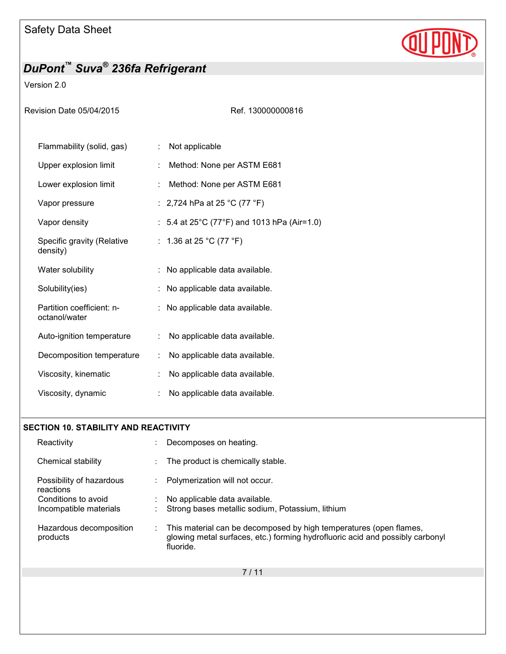

## Version 2.0

Revision Date 05/04/2015 Ref. 130000000816

| Flammability (solid, gas)                  | t. | Not applicable                              |
|--------------------------------------------|----|---------------------------------------------|
| Upper explosion limit                      | ÷. | Method: None per ASTM E681                  |
| Lower explosion limit                      | ÷  | Method: None per ASTM E681                  |
| Vapor pressure                             |    | : 2,724 hPa at 25 °C (77 °F)                |
| Vapor density                              |    | : 5.4 at 25°C (77°F) and 1013 hPa (Air=1.0) |
| Specific gravity (Relative<br>density)     |    | : 1.36 at 25 °C (77 °F)                     |
| Water solubility                           |    | : No applicable data available.             |
| Solubility(ies)                            |    | : No applicable data available.             |
| Partition coefficient: n-<br>octanol/water |    | : No applicable data available.             |
| Auto-ignition temperature                  | ÷. | No applicable data available.               |
| Decomposition temperature                  | ÷  | No applicable data available.               |
| Viscosity, kinematic                       | ÷  | No applicable data available.               |
| Viscosity, dynamic                         |    | No applicable data available.               |

### **SECTION 10. STABILITY AND REACTIVITY**

| Reactivity                            |   | Decomposes on heating.                                                                                                                                           |
|---------------------------------------|---|------------------------------------------------------------------------------------------------------------------------------------------------------------------|
| Chemical stability                    |   | The product is chemically stable.                                                                                                                                |
| Possibility of hazardous<br>reactions |   | Polymerization will not occur.                                                                                                                                   |
| Conditions to avoid                   |   | No applicable data available.                                                                                                                                    |
| Incompatible materials                |   | Strong bases metallic sodium, Potassium, lithium                                                                                                                 |
| Hazardous decomposition<br>products   | ÷ | This material can be decomposed by high temperatures (open flames,<br>glowing metal surfaces, etc.) forming hydrofluoric acid and possibly carbonyl<br>fluoride. |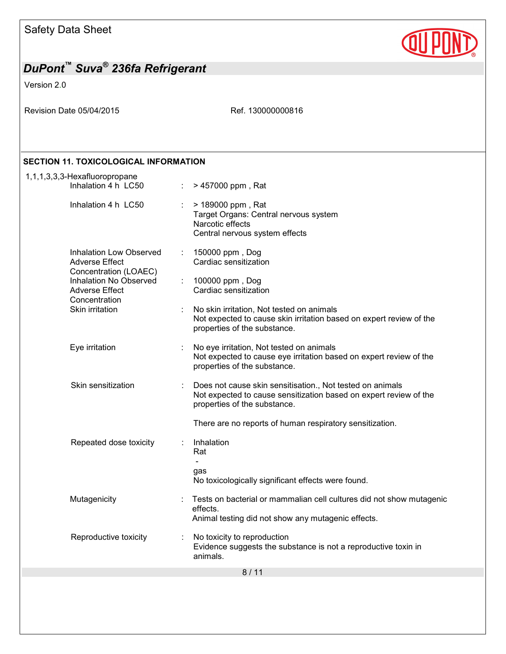

| DuPont <sup>"</sup> Suva <sup>®</sup> 236fa Refrigerant                                                                                                                 |                                                                                                                                                                                                                                                    |  |
|-------------------------------------------------------------------------------------------------------------------------------------------------------------------------|----------------------------------------------------------------------------------------------------------------------------------------------------------------------------------------------------------------------------------------------------|--|
| Version 2.0                                                                                                                                                             |                                                                                                                                                                                                                                                    |  |
| Revision Date 05/04/2015                                                                                                                                                | Ref. 130000000816                                                                                                                                                                                                                                  |  |
| <b>SECTION 11. TOXICOLOGICAL INFORMATION</b>                                                                                                                            |                                                                                                                                                                                                                                                    |  |
| 1,1,1,3,3,3-Hexafluoropropane<br>Inhalation 4 h LC50                                                                                                                    | > 457000 ppm, Rat<br>÷                                                                                                                                                                                                                             |  |
| Inhalation 4 h LC50                                                                                                                                                     | > 189000 ppm, Rat<br>Target Organs: Central nervous system<br>Narcotic effects<br>Central nervous system effects                                                                                                                                   |  |
| <b>Inhalation Low Observed</b><br><b>Adverse Effect</b><br>Concentration (LOAEC)<br>Inhalation No Observed<br><b>Adverse Effect</b><br>Concentration<br>Skin irritation | 150000 ppm, Dog<br>÷<br>Cardiac sensitization<br>100000 ppm, Dog<br>÷<br>Cardiac sensitization<br>No skin irritation, Not tested on animals<br>Not expected to cause skin irritation based on expert review of the<br>properties of the substance. |  |
| Eye irritation                                                                                                                                                          | No eye irritation, Not tested on animals<br>Not expected to cause eye irritation based on expert review of the<br>properties of the substance.                                                                                                     |  |
| Skin sensitization                                                                                                                                                      | Does not cause skin sensitisation., Not tested on animals<br>Not expected to cause sensitization based on expert review of the<br>properties of the substance.<br>There are no reports of human respiratory sensitization.                         |  |
| Repeated dose toxicity                                                                                                                                                  | Inhalation<br>Rat<br>gas<br>No toxicologically significant effects were found.                                                                                                                                                                     |  |
| Mutagenicity                                                                                                                                                            | Tests on bacterial or mammalian cell cultures did not show mutagenic<br>effects.<br>Animal testing did not show any mutagenic effects.                                                                                                             |  |
| Reproductive toxicity                                                                                                                                                   | No toxicity to reproduction<br>Evidence suggests the substance is not a reproductive toxin in<br>animals.                                                                                                                                          |  |
|                                                                                                                                                                         | 8/11                                                                                                                                                                                                                                               |  |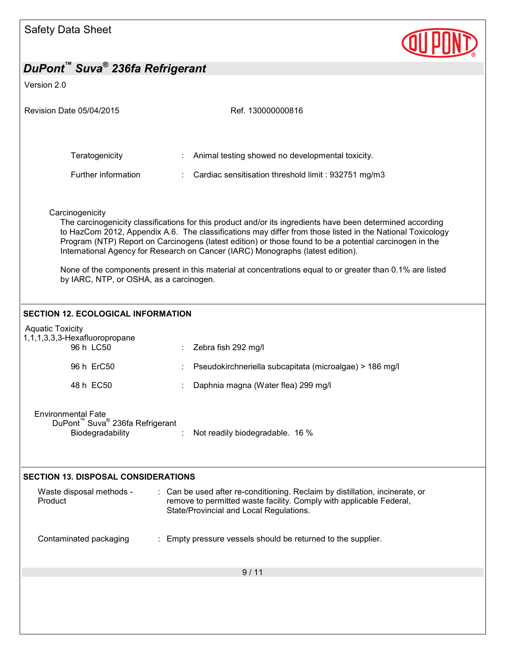| <b>Safety Data Sheet</b>                                                                                 |                                                                                                                                                                                                                                                                                                                                                                                                                                                                                                                                     |  |
|----------------------------------------------------------------------------------------------------------|-------------------------------------------------------------------------------------------------------------------------------------------------------------------------------------------------------------------------------------------------------------------------------------------------------------------------------------------------------------------------------------------------------------------------------------------------------------------------------------------------------------------------------------|--|
| DuPont™ Suva <sup>®</sup> 236fa Refrigerant                                                              |                                                                                                                                                                                                                                                                                                                                                                                                                                                                                                                                     |  |
| Version 2.0                                                                                              |                                                                                                                                                                                                                                                                                                                                                                                                                                                                                                                                     |  |
| <b>Revision Date 05/04/2015</b>                                                                          | Ref. 130000000816                                                                                                                                                                                                                                                                                                                                                                                                                                                                                                                   |  |
| Teratogenicity                                                                                           | Animal testing showed no developmental toxicity.                                                                                                                                                                                                                                                                                                                                                                                                                                                                                    |  |
| Further information                                                                                      | Cardiac sensitisation threshold limit: 932751 mg/m3                                                                                                                                                                                                                                                                                                                                                                                                                                                                                 |  |
| Carcinogenicity<br>by IARC, NTP, or OSHA, as a carcinogen.                                               | The carcinogenicity classifications for this product and/or its ingredients have been determined according<br>to HazCom 2012, Appendix A.6. The classifications may differ from those listed in the National Toxicology<br>Program (NTP) Report on Carcinogens (latest edition) or those found to be a potential carcinogen in the<br>International Agency for Research on Cancer (IARC) Monographs (latest edition).<br>None of the components present in this material at concentrations equal to or greater than 0.1% are listed |  |
| <b>SECTION 12. ECOLOGICAL INFORMATION</b>                                                                |                                                                                                                                                                                                                                                                                                                                                                                                                                                                                                                                     |  |
| <b>Aquatic Toxicity</b><br>1,1,1,3,3,3-Hexafluoropropane<br>96 h LC50                                    | Zebra fish 292 mg/l                                                                                                                                                                                                                                                                                                                                                                                                                                                                                                                 |  |
| 96 h ErC50                                                                                               | Pseudokirchneriella subcapitata (microalgae) > 186 mg/l                                                                                                                                                                                                                                                                                                                                                                                                                                                                             |  |
| 48 h EC50                                                                                                | Daphnia magna (Water flea) 299 mg/l                                                                                                                                                                                                                                                                                                                                                                                                                                                                                                 |  |
| <b>Environmental Fate</b><br>DuPont <sup>™</sup> Suva <sup>®</sup> 236fa Refrigerant<br>Biodegradability | Not readily biodegradable. 16 %                                                                                                                                                                                                                                                                                                                                                                                                                                                                                                     |  |
| <b>SECTION 13. DISPOSAL CONSIDERATIONS</b>                                                               |                                                                                                                                                                                                                                                                                                                                                                                                                                                                                                                                     |  |
| Waste disposal methods -<br>Product                                                                      | : Can be used after re-conditioning. Reclaim by distillation, incinerate, or<br>remove to permitted waste facility. Comply with applicable Federal,<br>State/Provincial and Local Regulations.                                                                                                                                                                                                                                                                                                                                      |  |
| Contaminated packaging                                                                                   | : Empty pressure vessels should be returned to the supplier.                                                                                                                                                                                                                                                                                                                                                                                                                                                                        |  |
|                                                                                                          | 9/11                                                                                                                                                                                                                                                                                                                                                                                                                                                                                                                                |  |
|                                                                                                          |                                                                                                                                                                                                                                                                                                                                                                                                                                                                                                                                     |  |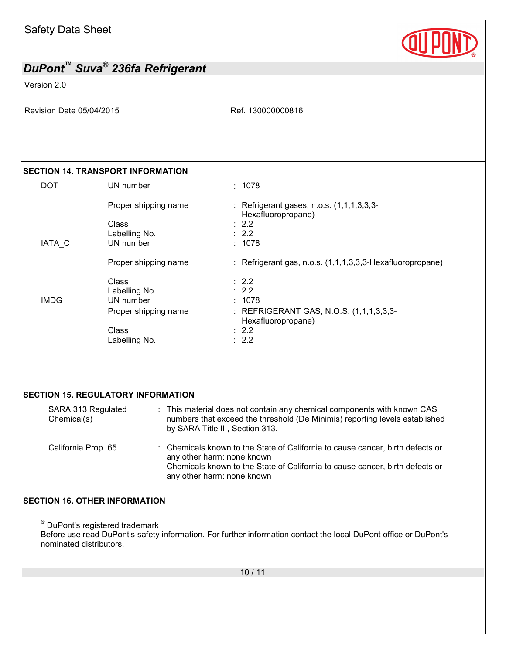| <b>Safety Data Sheet</b> |  |  |
|--------------------------|--|--|
|--------------------------|--|--|



Version 2.0

Revision Date 05/04/2015 Ref. 130000000816

### **SECTION 14. TRANSPORT INFORMATION**

| <b>DOT</b>  | UN number            | : 1078                                                          |
|-------------|----------------------|-----------------------------------------------------------------|
|             | Proper shipping name | : Refrigerant gases, n.o.s. (1,1,1,3,3,3-<br>Hexafluoropropane) |
|             | Class                | $\therefore$ 2.2                                                |
|             | Labelling No.        | $\therefore$ 2.2                                                |
| IATA C      | UN number            | : 1078                                                          |
|             | Proper shipping name | : Refrigerant gas, n.o.s. $(1,1,1,3,3,3)$ -Hexafluoropropane)   |
|             | <b>Class</b>         | $\therefore$ 2.2                                                |
|             | Labelling No.        | $\therefore$ 2.2                                                |
| <b>IMDG</b> | UN number            | : 1078                                                          |
|             | Proper shipping name | : REFRIGERANT GAS, N.O.S. (1,1,1,3,3,3-<br>Hexafluoropropane)   |
|             | <b>Class</b>         | $\therefore$ 2.2                                                |
|             | Labelling No.        | $\therefore$ 2.2                                                |

| SARA 313 Regulated<br>Chemical(s) | : This material does not contain any chemical components with known CAS<br>numbers that exceed the threshold (De Minimis) reporting levels established<br>by SARA Title III, Section 313.                                  |
|-----------------------------------|----------------------------------------------------------------------------------------------------------------------------------------------------------------------------------------------------------------------------|
| California Prop. 65               | : Chemicals known to the State of California to cause cancer, birth defects or<br>any other harm: none known<br>Chemicals known to the State of California to cause cancer, birth defects or<br>any other harm: none known |

### **SECTION 16. OTHER INFORMATION**

® DuPont's registered trademark Before use read DuPont's safety information. For further information contact the local DuPont office or DuPont's nominated distributors.

10 / 11